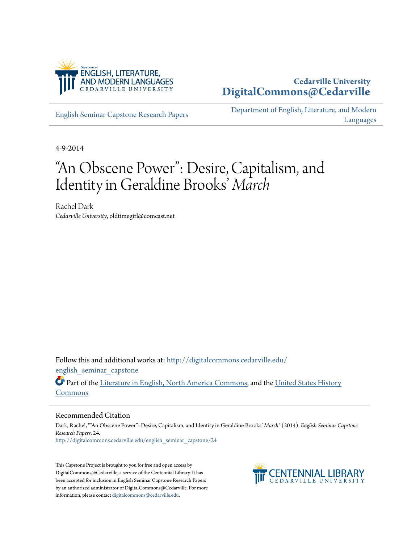

## **Cedarville University [DigitalCommons@Cedarville](http://digitalcommons.cedarville.edu?utm_source=digitalcommons.cedarville.edu%2Fenglish_seminar_capstone%2F24&utm_medium=PDF&utm_campaign=PDFCoverPages)**

[English Seminar Capstone Research Papers](http://digitalcommons.cedarville.edu/english_seminar_capstone?utm_source=digitalcommons.cedarville.edu%2Fenglish_seminar_capstone%2F24&utm_medium=PDF&utm_campaign=PDFCoverPages)

[Department of English, Literature, and Modern](http://digitalcommons.cedarville.edu/english_literature_modern_languages?utm_source=digitalcommons.cedarville.edu%2Fenglish_seminar_capstone%2F24&utm_medium=PDF&utm_campaign=PDFCoverPages) [Languages](http://digitalcommons.cedarville.edu/english_literature_modern_languages?utm_source=digitalcommons.cedarville.edu%2Fenglish_seminar_capstone%2F24&utm_medium=PDF&utm_campaign=PDFCoverPages)

4-9-2014

## "An Obscene Power": Desire, Capitalism, and Identity in Geraldine Brooks ' *March*

Rachel Dark *Cedarville University*, oldtimegirl@comcast.net

Follow this and additional works at: [http://digitalcommons.cedarville.edu/](http://digitalcommons.cedarville.edu/english_seminar_capstone?utm_source=digitalcommons.cedarville.edu%2Fenglish_seminar_capstone%2F24&utm_medium=PDF&utm_campaign=PDFCoverPages) english seminar capstone

Part of the [Literature in English, North America Commons](http://network.bepress.com/hgg/discipline/458?utm_source=digitalcommons.cedarville.edu%2Fenglish_seminar_capstone%2F24&utm_medium=PDF&utm_campaign=PDFCoverPages), and the [United States History](http://network.bepress.com/hgg/discipline/495?utm_source=digitalcommons.cedarville.edu%2Fenglish_seminar_capstone%2F24&utm_medium=PDF&utm_campaign=PDFCoverPages) [Commons](http://network.bepress.com/hgg/discipline/495?utm_source=digitalcommons.cedarville.edu%2Fenglish_seminar_capstone%2F24&utm_medium=PDF&utm_campaign=PDFCoverPages)

## Recommended Citation

Dark, Rachel, ""An Obscene Power": Desire, Capitalism, and Identity in Geraldine Brooks' *March*" (2014). *English Seminar Capstone Research Papers*. 24. [http://digitalcommons.cedarville.edu/english\\_seminar\\_capstone/24](http://digitalcommons.cedarville.edu/english_seminar_capstone/24?utm_source=digitalcommons.cedarville.edu%2Fenglish_seminar_capstone%2F24&utm_medium=PDF&utm_campaign=PDFCoverPages)

This Capstone Project is brought to you for free and open access by DigitalCommons@Cedarville, a service of the Centennial Library. It has been accepted for inclusion in English Seminar Capstone Research Papers by an authorized administrator of DigitalCommons@Cedarville. For more information, please contact [digitalcommons@cedarville.edu.](mailto:digitalcommons@cedarville.edu)

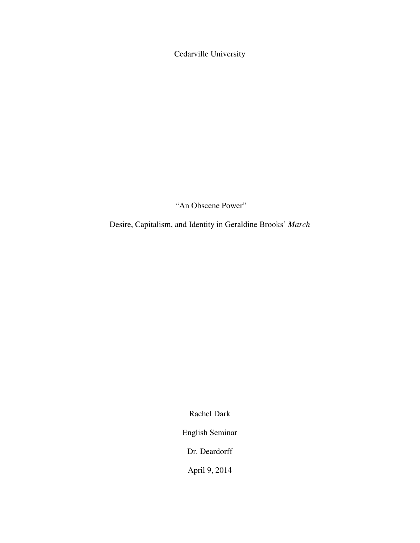Cedarville University

"An Obscene Power"

Desire, Capitalism, and Identity in Geraldine Brooks' *March*

Rachel Dark

English Seminar

Dr. Deardorff

April 9, 2014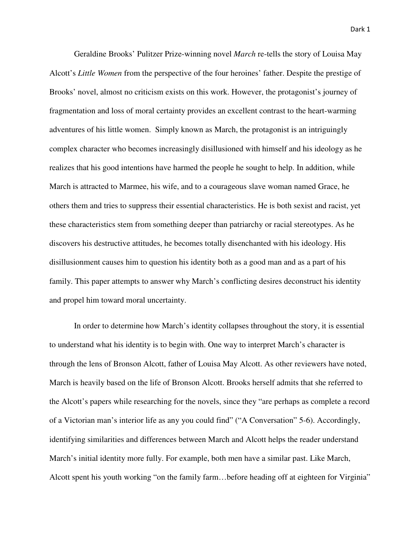Geraldine Brooks' Pulitzer Prize-winning novel *March* re-tells the story of Louisa May Alcott's *Little Women* from the perspective of the four heroines' father. Despite the prestige of Brooks' novel, almost no criticism exists on this work. However, the protagonist's journey of fragmentation and loss of moral certainty provides an excellent contrast to the heart-warming adventures of his little women. Simply known as March, the protagonist is an intriguingly complex character who becomes increasingly disillusioned with himself and his ideology as he realizes that his good intentions have harmed the people he sought to help. In addition, while March is attracted to Marmee, his wife, and to a courageous slave woman named Grace, he others them and tries to suppress their essential characteristics. He is both sexist and racist, yet these characteristics stem from something deeper than patriarchy or racial stereotypes. As he discovers his destructive attitudes, he becomes totally disenchanted with his ideology. His disillusionment causes him to question his identity both as a good man and as a part of his family. This paper attempts to answer why March's conflicting desires deconstruct his identity and propel him toward moral uncertainty.

 In order to determine how March's identity collapses throughout the story, it is essential to understand what his identity is to begin with. One way to interpret March's character is through the lens of Bronson Alcott, father of Louisa May Alcott. As other reviewers have noted, March is heavily based on the life of Bronson Alcott. Brooks herself admits that she referred to the Alcott's papers while researching for the novels, since they "are perhaps as complete a record of a Victorian man's interior life as any you could find" ("A Conversation" 5-6). Accordingly, identifying similarities and differences between March and Alcott helps the reader understand March's initial identity more fully. For example, both men have a similar past. Like March, Alcott spent his youth working "on the family farm…before heading off at eighteen for Virginia"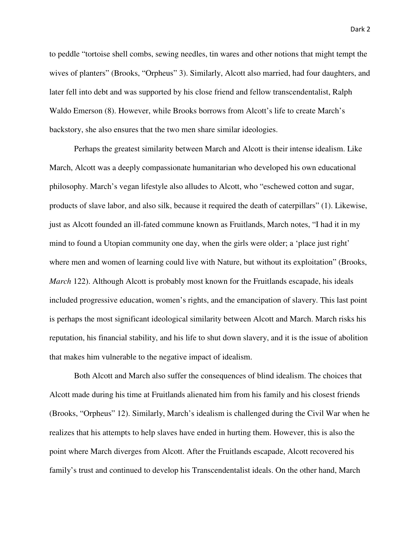to peddle "tortoise shell combs, sewing needles, tin wares and other notions that might tempt the wives of planters" (Brooks, "Orpheus" 3). Similarly, Alcott also married, had four daughters, and later fell into debt and was supported by his close friend and fellow transcendentalist, Ralph Waldo Emerson (8). However, while Brooks borrows from Alcott's life to create March's

backstory, she also ensures that the two men share similar ideologies.

 Perhaps the greatest similarity between March and Alcott is their intense idealism. Like March, Alcott was a deeply compassionate humanitarian who developed his own educational philosophy. March's vegan lifestyle also alludes to Alcott, who "eschewed cotton and sugar, products of slave labor, and also silk, because it required the death of caterpillars" (1). Likewise, just as Alcott founded an ill-fated commune known as Fruitlands, March notes, "I had it in my mind to found a Utopian community one day, when the girls were older; a 'place just right' where men and women of learning could live with Nature, but without its exploitation" (Brooks, *March* 122). Although Alcott is probably most known for the Fruitlands escapade, his ideals included progressive education, women's rights, and the emancipation of slavery. This last point is perhaps the most significant ideological similarity between Alcott and March. March risks his reputation, his financial stability, and his life to shut down slavery, and it is the issue of abolition that makes him vulnerable to the negative impact of idealism.

Both Alcott and March also suffer the consequences of blind idealism. The choices that Alcott made during his time at Fruitlands alienated him from his family and his closest friends (Brooks, "Orpheus" 12). Similarly, March's idealism is challenged during the Civil War when he realizes that his attempts to help slaves have ended in hurting them. However, this is also the point where March diverges from Alcott. After the Fruitlands escapade, Alcott recovered his family's trust and continued to develop his Transcendentalist ideals. On the other hand, March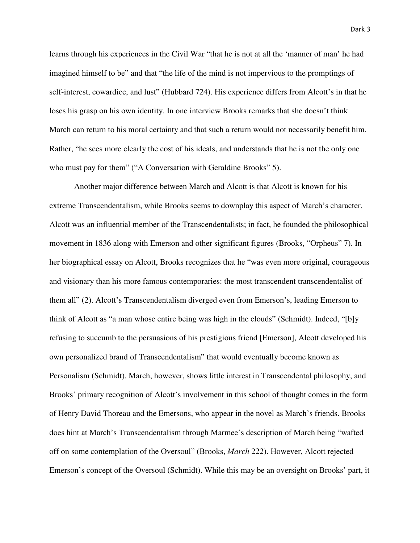learns through his experiences in the Civil War "that he is not at all the 'manner of man' he had imagined himself to be" and that "the life of the mind is not impervious to the promptings of self-interest, cowardice, and lust" (Hubbard 724). His experience differs from Alcott's in that he loses his grasp on his own identity. In one interview Brooks remarks that she doesn't think March can return to his moral certainty and that such a return would not necessarily benefit him. Rather, "he sees more clearly the cost of his ideals, and understands that he is not the only one who must pay for them" ("A Conversation with Geraldine Brooks" 5).

 Another major difference between March and Alcott is that Alcott is known for his extreme Transcendentalism, while Brooks seems to downplay this aspect of March's character. Alcott was an influential member of the Transcendentalists; in fact, he founded the philosophical movement in 1836 along with Emerson and other significant figures (Brooks, "Orpheus" 7). In her biographical essay on Alcott, Brooks recognizes that he "was even more original, courageous and visionary than his more famous contemporaries: the most transcendent transcendentalist of them all" (2). Alcott's Transcendentalism diverged even from Emerson's, leading Emerson to think of Alcott as "a man whose entire being was high in the clouds" (Schmidt). Indeed, "[b]y refusing to succumb to the persuasions of his prestigious friend [Emerson], Alcott developed his own personalized brand of Transcendentalism" that would eventually become known as Personalism (Schmidt). March, however, shows little interest in Transcendental philosophy, and Brooks' primary recognition of Alcott's involvement in this school of thought comes in the form of Henry David Thoreau and the Emersons, who appear in the novel as March's friends. Brooks does hint at March's Transcendentalism through Marmee's description of March being "wafted off on some contemplation of the Oversoul" (Brooks, *March* 222). However, Alcott rejected Emerson's concept of the Oversoul (Schmidt). While this may be an oversight on Brooks' part, it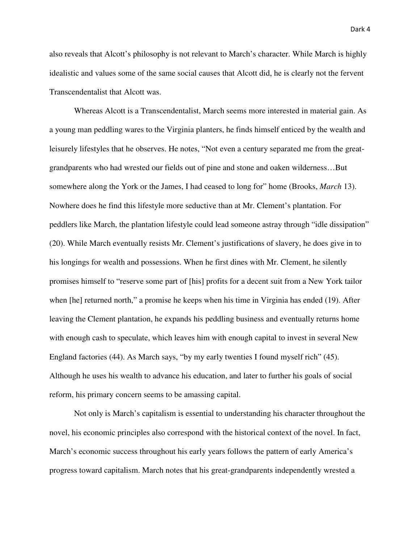also reveals that Alcott's philosophy is not relevant to March's character. While March is highly idealistic and values some of the same social causes that Alcott did, he is clearly not the fervent Transcendentalist that Alcott was.

 Whereas Alcott is a Transcendentalist, March seems more interested in material gain. As a young man peddling wares to the Virginia planters, he finds himself enticed by the wealth and leisurely lifestyles that he observes. He notes, "Not even a century separated me from the greatgrandparents who had wrested our fields out of pine and stone and oaken wilderness…But somewhere along the York or the James, I had ceased to long for" home (Brooks, *March* 13). Nowhere does he find this lifestyle more seductive than at Mr. Clement's plantation. For peddlers like March, the plantation lifestyle could lead someone astray through "idle dissipation" (20). While March eventually resists Mr. Clement's justifications of slavery, he does give in to his longings for wealth and possessions. When he first dines with Mr. Clement, he silently promises himself to "reserve some part of [his] profits for a decent suit from a New York tailor when [he] returned north," a promise he keeps when his time in Virginia has ended (19). After leaving the Clement plantation, he expands his peddling business and eventually returns home with enough cash to speculate, which leaves him with enough capital to invest in several New England factories (44). As March says, "by my early twenties I found myself rich" (45). Although he uses his wealth to advance his education, and later to further his goals of social reform, his primary concern seems to be amassing capital.

 Not only is March's capitalism is essential to understanding his character throughout the novel, his economic principles also correspond with the historical context of the novel. In fact, March's economic success throughout his early years follows the pattern of early America's progress toward capitalism. March notes that his great-grandparents independently wrested a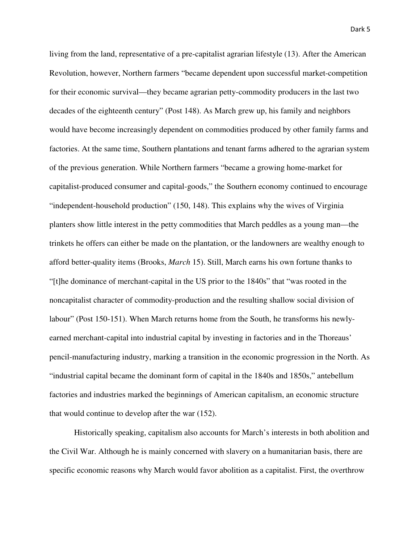living from the land, representative of a pre-capitalist agrarian lifestyle (13). After the American Revolution, however, Northern farmers "became dependent upon successful market-competition for their economic survival—they became agrarian petty-commodity producers in the last two decades of the eighteenth century" (Post 148). As March grew up, his family and neighbors would have become increasingly dependent on commodities produced by other family farms and factories. At the same time, Southern plantations and tenant farms adhered to the agrarian system of the previous generation. While Northern farmers "became a growing home-market for capitalist-produced consumer and capital-goods," the Southern economy continued to encourage "independent-household production" (150, 148). This explains why the wives of Virginia planters show little interest in the petty commodities that March peddles as a young man—the trinkets he offers can either be made on the plantation, or the landowners are wealthy enough to afford better-quality items (Brooks, *March* 15). Still, March earns his own fortune thanks to "[t]he dominance of merchant-capital in the US prior to the 1840s" that "was rooted in the noncapitalist character of commodity-production and the resulting shallow social division of labour" (Post 150-151). When March returns home from the South, he transforms his newlyearned merchant-capital into industrial capital by investing in factories and in the Thoreaus' pencil-manufacturing industry, marking a transition in the economic progression in the North. As "industrial capital became the dominant form of capital in the 1840s and 1850s," antebellum factories and industries marked the beginnings of American capitalism, an economic structure that would continue to develop after the war (152).

 Historically speaking, capitalism also accounts for March's interests in both abolition and the Civil War. Although he is mainly concerned with slavery on a humanitarian basis, there are specific economic reasons why March would favor abolition as a capitalist. First, the overthrow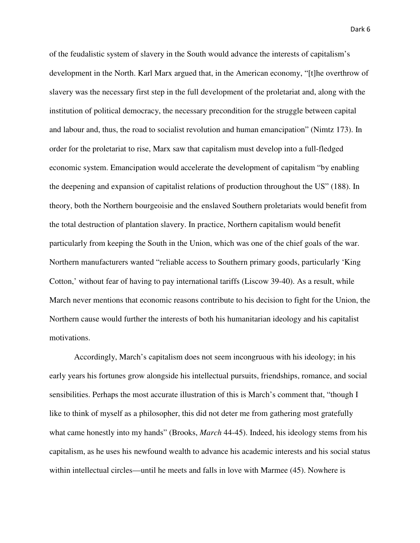of the feudalistic system of slavery in the South would advance the interests of capitalism's development in the North. Karl Marx argued that, in the American economy, "[t]he overthrow of slavery was the necessary first step in the full development of the proletariat and, along with the institution of political democracy, the necessary precondition for the struggle between capital and labour and, thus, the road to socialist revolution and human emancipation" (Nimtz 173). In order for the proletariat to rise, Marx saw that capitalism must develop into a full-fledged economic system. Emancipation would accelerate the development of capitalism "by enabling the deepening and expansion of capitalist relations of production throughout the US" (188). In theory, both the Northern bourgeoisie and the enslaved Southern proletariats would benefit from the total destruction of plantation slavery. In practice, Northern capitalism would benefit particularly from keeping the South in the Union, which was one of the chief goals of the war. Northern manufacturers wanted "reliable access to Southern primary goods, particularly 'King Cotton,' without fear of having to pay international tariffs (Liscow 39-40). As a result, while March never mentions that economic reasons contribute to his decision to fight for the Union, the Northern cause would further the interests of both his humanitarian ideology and his capitalist motivations.

 Accordingly, March's capitalism does not seem incongruous with his ideology; in his early years his fortunes grow alongside his intellectual pursuits, friendships, romance, and social sensibilities. Perhaps the most accurate illustration of this is March's comment that, "though I like to think of myself as a philosopher, this did not deter me from gathering most gratefully what came honestly into my hands" (Brooks, *March* 44-45). Indeed, his ideology stems from his capitalism, as he uses his newfound wealth to advance his academic interests and his social status within intellectual circles—until he meets and falls in love with Marmee (45). Nowhere is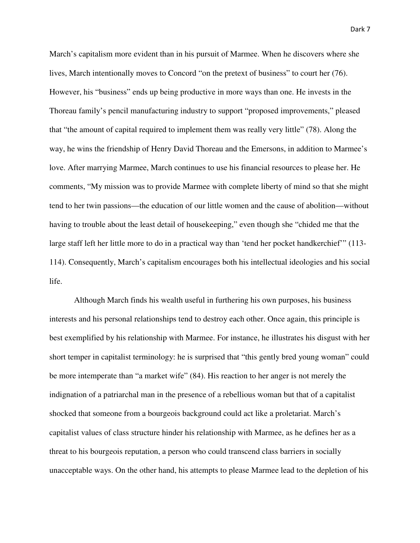March's capitalism more evident than in his pursuit of Marmee. When he discovers where she lives, March intentionally moves to Concord "on the pretext of business" to court her (76). However, his "business" ends up being productive in more ways than one. He invests in the Thoreau family's pencil manufacturing industry to support "proposed improvements," pleased that "the amount of capital required to implement them was really very little" (78). Along the way, he wins the friendship of Henry David Thoreau and the Emersons, in addition to Marmee's love. After marrying Marmee, March continues to use his financial resources to please her. He comments, "My mission was to provide Marmee with complete liberty of mind so that she might tend to her twin passions—the education of our little women and the cause of abolition—without having to trouble about the least detail of housekeeping," even though she "chided me that the large staff left her little more to do in a practical way than 'tend her pocket handkerchief'" (113- 114). Consequently, March's capitalism encourages both his intellectual ideologies and his social life.

 Although March finds his wealth useful in furthering his own purposes, his business interests and his personal relationships tend to destroy each other. Once again, this principle is best exemplified by his relationship with Marmee. For instance, he illustrates his disgust with her short temper in capitalist terminology: he is surprised that "this gently bred young woman" could be more intemperate than "a market wife" (84). His reaction to her anger is not merely the indignation of a patriarchal man in the presence of a rebellious woman but that of a capitalist shocked that someone from a bourgeois background could act like a proletariat. March's capitalist values of class structure hinder his relationship with Marmee, as he defines her as a threat to his bourgeois reputation, a person who could transcend class barriers in socially unacceptable ways. On the other hand, his attempts to please Marmee lead to the depletion of his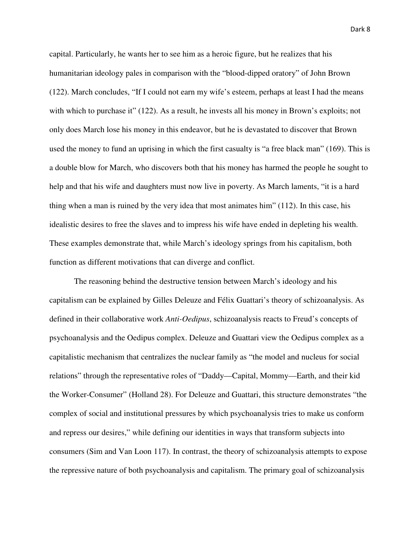capital. Particularly, he wants her to see him as a heroic figure, but he realizes that his humanitarian ideology pales in comparison with the "blood-dipped oratory" of John Brown (122). March concludes, "If I could not earn my wife's esteem, perhaps at least I had the means with which to purchase it" (122). As a result, he invests all his money in Brown's exploits; not only does March lose his money in this endeavor, but he is devastated to discover that Brown used the money to fund an uprising in which the first casualty is "a free black man" (169). This is a double blow for March, who discovers both that his money has harmed the people he sought to help and that his wife and daughters must now live in poverty. As March laments, "it is a hard thing when a man is ruined by the very idea that most animates him" (112). In this case, his idealistic desires to free the slaves and to impress his wife have ended in depleting his wealth. These examples demonstrate that, while March's ideology springs from his capitalism, both function as different motivations that can diverge and conflict.

 The reasoning behind the destructive tension between March's ideology and his capitalism can be explained by Gilles Deleuze and Félix Guattari's theory of schizoanalysis. As defined in their collaborative work *Anti-Oedipus*, schizoanalysis reacts to Freud's concepts of psychoanalysis and the Oedipus complex. Deleuze and Guattari view the Oedipus complex as a capitalistic mechanism that centralizes the nuclear family as "the model and nucleus for social relations" through the representative roles of "Daddy—Capital, Mommy—Earth, and their kid the Worker-Consumer" (Holland 28). For Deleuze and Guattari, this structure demonstrates "the complex of social and institutional pressures by which psychoanalysis tries to make us conform and repress our desires," while defining our identities in ways that transform subjects into consumers (Sim and Van Loon 117). In contrast, the theory of schizoanalysis attempts to expose the repressive nature of both psychoanalysis and capitalism. The primary goal of schizoanalysis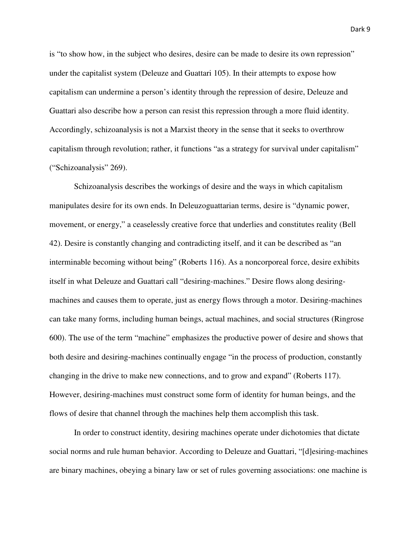is "to show how, in the subject who desires, desire can be made to desire its own repression" under the capitalist system (Deleuze and Guattari 105). In their attempts to expose how capitalism can undermine a person's identity through the repression of desire, Deleuze and Guattari also describe how a person can resist this repression through a more fluid identity. Accordingly, schizoanalysis is not a Marxist theory in the sense that it seeks to overthrow capitalism through revolution; rather, it functions "as a strategy for survival under capitalism" ("Schizoanalysis" 269).

 Schizoanalysis describes the workings of desire and the ways in which capitalism manipulates desire for its own ends. In Deleuzoguattarian terms, desire is "dynamic power, movement, or energy," a ceaselessly creative force that underlies and constitutes reality (Bell 42). Desire is constantly changing and contradicting itself, and it can be described as "an interminable becoming without being" (Roberts 116). As a noncorporeal force, desire exhibits itself in what Deleuze and Guattari call "desiring-machines." Desire flows along desiringmachines and causes them to operate, just as energy flows through a motor. Desiring-machines can take many forms, including human beings, actual machines, and social structures (Ringrose 600). The use of the term "machine" emphasizes the productive power of desire and shows that both desire and desiring-machines continually engage "in the process of production, constantly changing in the drive to make new connections, and to grow and expand" (Roberts 117). However, desiring-machines must construct some form of identity for human beings, and the flows of desire that channel through the machines help them accomplish this task.

In order to construct identity, desiring machines operate under dichotomies that dictate social norms and rule human behavior. According to Deleuze and Guattari, "[d]esiring-machines are binary machines, obeying a binary law or set of rules governing associations: one machine is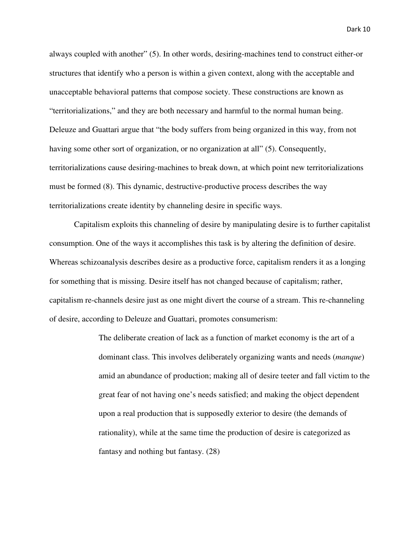always coupled with another" (5). In other words, desiring-machines tend to construct either-or structures that identify who a person is within a given context, along with the acceptable and unacceptable behavioral patterns that compose society. These constructions are known as "territorializations," and they are both necessary and harmful to the normal human being. Deleuze and Guattari argue that "the body suffers from being organized in this way, from not having some other sort of organization, or no organization at all" (5). Consequently, territorializations cause desiring-machines to break down, at which point new territorializations must be formed (8). This dynamic, destructive-productive process describes the way territorializations create identity by channeling desire in specific ways.

 Capitalism exploits this channeling of desire by manipulating desire is to further capitalist consumption. One of the ways it accomplishes this task is by altering the definition of desire. Whereas schizoanalysis describes desire as a productive force, capitalism renders it as a longing for something that is missing. Desire itself has not changed because of capitalism; rather, capitalism re-channels desire just as one might divert the course of a stream. This re-channeling of desire, according to Deleuze and Guattari, promotes consumerism:

> The deliberate creation of lack as a function of market economy is the art of a dominant class. This involves deliberately organizing wants and needs (*manque*) amid an abundance of production; making all of desire teeter and fall victim to the great fear of not having one's needs satisfied; and making the object dependent upon a real production that is supposedly exterior to desire (the demands of rationality), while at the same time the production of desire is categorized as fantasy and nothing but fantasy. (28)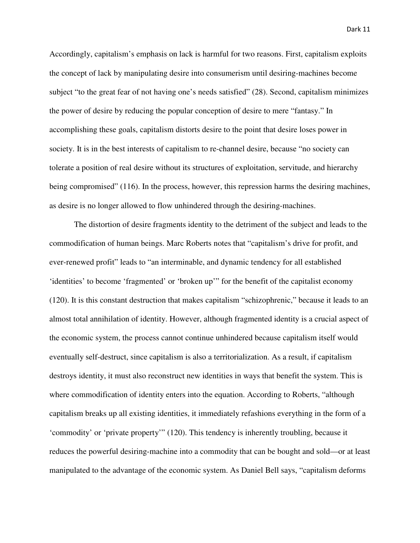Accordingly, capitalism's emphasis on lack is harmful for two reasons. First, capitalism exploits the concept of lack by manipulating desire into consumerism until desiring-machines become subject "to the great fear of not having one's needs satisfied" (28). Second, capitalism minimizes the power of desire by reducing the popular conception of desire to mere "fantasy." In accomplishing these goals, capitalism distorts desire to the point that desire loses power in society. It is in the best interests of capitalism to re-channel desire, because "no society can tolerate a position of real desire without its structures of exploitation, servitude, and hierarchy being compromised" (116). In the process, however, this repression harms the desiring machines, as desire is no longer allowed to flow unhindered through the desiring-machines.

 The distortion of desire fragments identity to the detriment of the subject and leads to the commodification of human beings. Marc Roberts notes that "capitalism's drive for profit, and ever-renewed profit" leads to "an interminable, and dynamic tendency for all established 'identities' to become 'fragmented' or 'broken up'" for the benefit of the capitalist economy (120). It is this constant destruction that makes capitalism "schizophrenic," because it leads to an almost total annihilation of identity. However, although fragmented identity is a crucial aspect of the economic system, the process cannot continue unhindered because capitalism itself would eventually self-destruct, since capitalism is also a territorialization. As a result, if capitalism destroys identity, it must also reconstruct new identities in ways that benefit the system. This is where commodification of identity enters into the equation. According to Roberts, "although capitalism breaks up all existing identities, it immediately refashions everything in the form of a 'commodity' or 'private property'" (120). This tendency is inherently troubling, because it reduces the powerful desiring-machine into a commodity that can be bought and sold—or at least manipulated to the advantage of the economic system. As Daniel Bell says, "capitalism deforms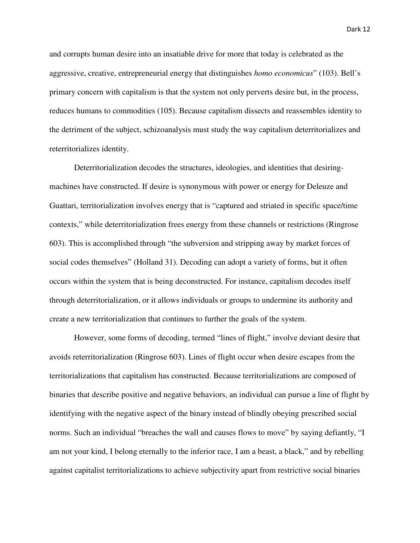and corrupts human desire into an insatiable drive for more that today is celebrated as the aggressive, creative, entrepreneurial energy that distinguishes *homo economicus*" (103). Bell's primary concern with capitalism is that the system not only perverts desire but, in the process, reduces humans to commodities (105). Because capitalism dissects and reassembles identity to the detriment of the subject, schizoanalysis must study the way capitalism deterritorializes and reterritorializes identity.

 Deterritorialization decodes the structures, ideologies, and identities that desiringmachines have constructed. If desire is synonymous with power or energy for Deleuze and Guattari, territorialization involves energy that is "captured and striated in specific space/time contexts," while deterritorialization frees energy from these channels or restrictions (Ringrose 603). This is accomplished through "the subversion and stripping away by market forces of social codes themselves" (Holland 31). Decoding can adopt a variety of forms, but it often occurs within the system that is being deconstructed. For instance, capitalism decodes itself through deterritorialization, or it allows individuals or groups to undermine its authority and create a new territorialization that continues to further the goals of the system.

However, some forms of decoding, termed "lines of flight," involve deviant desire that avoids reterritorialization (Ringrose 603). Lines of flight occur when desire escapes from the territorializations that capitalism has constructed. Because territorializations are composed of binaries that describe positive and negative behaviors, an individual can pursue a line of flight by identifying with the negative aspect of the binary instead of blindly obeying prescribed social norms. Such an individual "breaches the wall and causes flows to move" by saying defiantly, "I am not your kind, I belong eternally to the inferior race, I am a beast, a black," and by rebelling against capitalist territorializations to achieve subjectivity apart from restrictive social binaries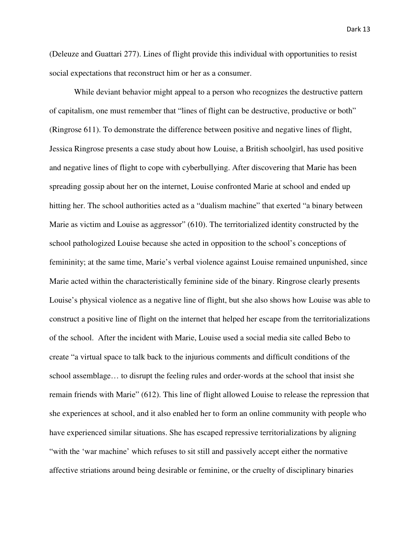(Deleuze and Guattari 277). Lines of flight provide this individual with opportunities to resist social expectations that reconstruct him or her as a consumer.

While deviant behavior might appeal to a person who recognizes the destructive pattern of capitalism, one must remember that "lines of flight can be destructive, productive or both" (Ringrose 611). To demonstrate the difference between positive and negative lines of flight, Jessica Ringrose presents a case study about how Louise, a British schoolgirl, has used positive and negative lines of flight to cope with cyberbullying. After discovering that Marie has been spreading gossip about her on the internet, Louise confronted Marie at school and ended up hitting her. The school authorities acted as a "dualism machine" that exerted "a binary between Marie as victim and Louise as aggressor" (610). The territorialized identity constructed by the school pathologized Louise because she acted in opposition to the school's conceptions of femininity; at the same time, Marie's verbal violence against Louise remained unpunished, since Marie acted within the characteristically feminine side of the binary. Ringrose clearly presents Louise's physical violence as a negative line of flight, but she also shows how Louise was able to construct a positive line of flight on the internet that helped her escape from the territorializations of the school. After the incident with Marie, Louise used a social media site called Bebo to create "a virtual space to talk back to the injurious comments and difficult conditions of the school assemblage… to disrupt the feeling rules and order-words at the school that insist she remain friends with Marie" (612). This line of flight allowed Louise to release the repression that she experiences at school, and it also enabled her to form an online community with people who have experienced similar situations. She has escaped repressive territorializations by aligning "with the 'war machine' which refuses to sit still and passively accept either the normative affective striations around being desirable or feminine, or the cruelty of disciplinary binaries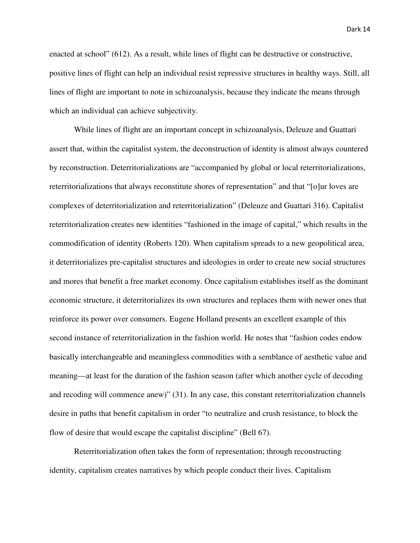enacted at school" (612). As a result, while lines of flight can be destructive or constructive, positive lines of flight can help an individual resist repressive structures in healthy ways. Still, all lines of flight are important to note in schizoanalysis, because they indicate the means through which an individual can achieve subjectivity.

While lines of flight are an important concept in schizoanalysis, Deleuze and Guattari assert that, within the capitalist system, the deconstruction of identity is almost always countered by reconstruction. Deterritorializations are "accompanied by global or local reterritorializations, reterritorializations that always reconstitute shores of representation" and that "[o]ur loves are complexes of deterritorialization and reterritorialization" (Deleuze and Guattari 316). Capitalist reterritorialization creates new identities "fashioned in the image of capital," which results in the commodification of identity (Roberts 120). When capitalism spreads to a new geopolitical area, it deterritorializes pre-capitalist structures and ideologies in order to create new social structures and mores that benefit a free market economy. Once capitalism establishes itself as the dominant economic structure, it deterritorializes its own structures and replaces them with newer ones that reinforce its power over consumers. Eugene Holland presents an excellent example of this second instance of reterritorialization in the fashion world. He notes that "fashion codes endow basically interchangeable and meaningless commodities with a semblance of aesthetic value and meaning—at least for the duration of the fashion season (after which another cycle of decoding and recoding will commence anew)" (31). In any case, this constant reterritorialization channels desire in paths that benefit capitalism in order "to neutralize and crush resistance, to block the flow of desire that would escape the capitalist discipline" (Bell 67).

Reterritorialization often takes the form of representation; through reconstructing identity, capitalism creates narratives by which people conduct their lives. Capitalism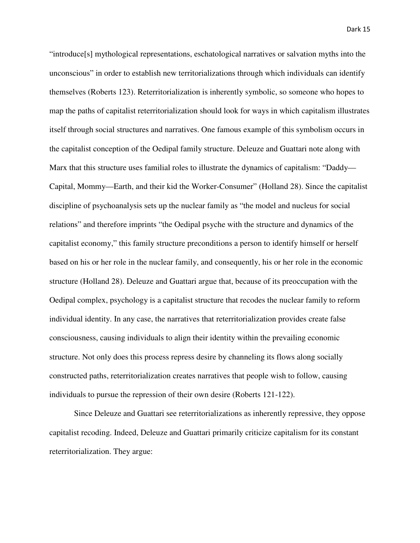"introduce[s] mythological representations, eschatological narratives or salvation myths into the unconscious" in order to establish new territorializations through which individuals can identify themselves (Roberts 123). Reterritorialization is inherently symbolic, so someone who hopes to map the paths of capitalist reterritorialization should look for ways in which capitalism illustrates itself through social structures and narratives. One famous example of this symbolism occurs in the capitalist conception of the Oedipal family structure. Deleuze and Guattari note along with Marx that this structure uses familial roles to illustrate the dynamics of capitalism: "Daddy— Capital, Mommy—Earth, and their kid the Worker-Consumer" (Holland 28). Since the capitalist discipline of psychoanalysis sets up the nuclear family as "the model and nucleus for social relations" and therefore imprints "the Oedipal psyche with the structure and dynamics of the capitalist economy," this family structure preconditions a person to identify himself or herself based on his or her role in the nuclear family, and consequently, his or her role in the economic structure (Holland 28). Deleuze and Guattari argue that, because of its preoccupation with the Oedipal complex, psychology is a capitalist structure that recodes the nuclear family to reform individual identity. In any case, the narratives that reterritorialization provides create false consciousness, causing individuals to align their identity within the prevailing economic structure. Not only does this process repress desire by channeling its flows along socially constructed paths, reterritorialization creates narratives that people wish to follow, causing individuals to pursue the repression of their own desire (Roberts 121-122).

 Since Deleuze and Guattari see reterritorializations as inherently repressive, they oppose capitalist recoding. Indeed, Deleuze and Guattari primarily criticize capitalism for its constant reterritorialization. They argue: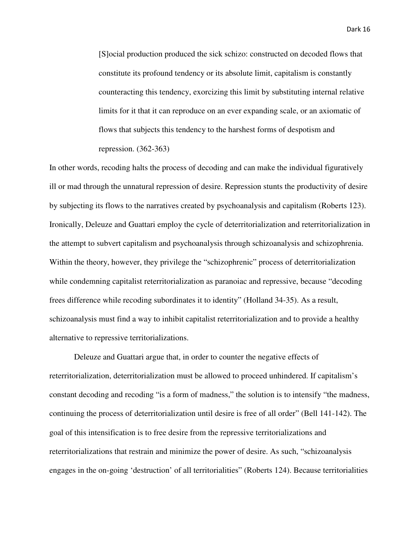[S]ocial production produced the sick schizo: constructed on decoded flows that constitute its profound tendency or its absolute limit, capitalism is constantly counteracting this tendency, exorcizing this limit by substituting internal relative limits for it that it can reproduce on an ever expanding scale, or an axiomatic of flows that subjects this tendency to the harshest forms of despotism and repression. (362-363)

In other words, recoding halts the process of decoding and can make the individual figuratively ill or mad through the unnatural repression of desire. Repression stunts the productivity of desire by subjecting its flows to the narratives created by psychoanalysis and capitalism (Roberts 123). Ironically, Deleuze and Guattari employ the cycle of deterritorialization and reterritorialization in the attempt to subvert capitalism and psychoanalysis through schizoanalysis and schizophrenia. Within the theory, however, they privilege the "schizophrenic" process of deterritorialization while condemning capitalist reterritorialization as paranoiac and repressive, because "decoding frees difference while recoding subordinates it to identity" (Holland 34-35). As a result, schizoanalysis must find a way to inhibit capitalist reterritorialization and to provide a healthy alternative to repressive territorializations.

 Deleuze and Guattari argue that, in order to counter the negative effects of reterritorialization, deterritorialization must be allowed to proceed unhindered. If capitalism's constant decoding and recoding "is a form of madness," the solution is to intensify "the madness, continuing the process of deterritorialization until desire is free of all order" (Bell 141-142). The goal of this intensification is to free desire from the repressive territorializations and reterritorializations that restrain and minimize the power of desire. As such, "schizoanalysis engages in the on-going 'destruction' of all territorialities" (Roberts 124). Because territorialities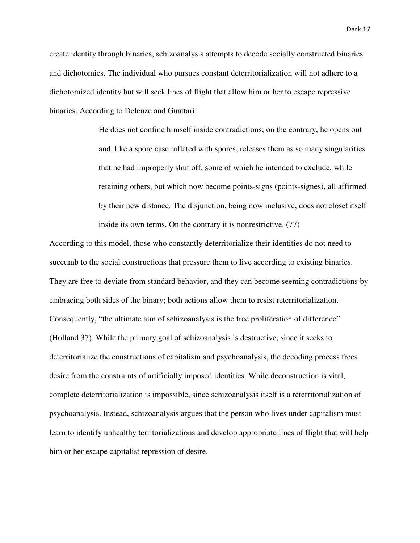create identity through binaries, schizoanalysis attempts to decode socially constructed binaries and dichotomies. The individual who pursues constant deterritorialization will not adhere to a dichotomized identity but will seek lines of flight that allow him or her to escape repressive binaries. According to Deleuze and Guattari:

> He does not confine himself inside contradictions; on the contrary, he opens out and, like a spore case inflated with spores, releases them as so many singularities that he had improperly shut off, some of which he intended to exclude, while retaining others, but which now become points-signs (points-signes), all affirmed by their new distance. The disjunction, being now inclusive, does not closet itself inside its own terms. On the contrary it is nonrestrictive. (77)

According to this model, those who constantly deterritorialize their identities do not need to succumb to the social constructions that pressure them to live according to existing binaries. They are free to deviate from standard behavior, and they can become seeming contradictions by embracing both sides of the binary; both actions allow them to resist reterritorialization. Consequently, "the ultimate aim of schizoanalysis is the free proliferation of difference" (Holland 37). While the primary goal of schizoanalysis is destructive, since it seeks to deterritorialize the constructions of capitalism and psychoanalysis, the decoding process frees desire from the constraints of artificially imposed identities. While deconstruction is vital, complete deterritorialization is impossible, since schizoanalysis itself is a reterritorialization of psychoanalysis. Instead, schizoanalysis argues that the person who lives under capitalism must learn to identify unhealthy territorializations and develop appropriate lines of flight that will help him or her escape capitalist repression of desire.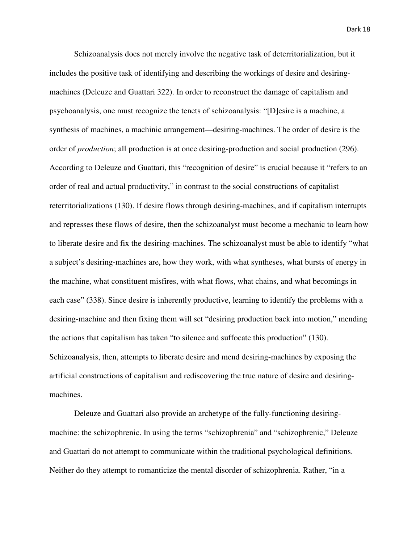Schizoanalysis does not merely involve the negative task of deterritorialization, but it includes the positive task of identifying and describing the workings of desire and desiringmachines (Deleuze and Guattari 322). In order to reconstruct the damage of capitalism and psychoanalysis, one must recognize the tenets of schizoanalysis: "[D]esire is a machine, a synthesis of machines, a machinic arrangement—desiring-machines. The order of desire is the order of *production*; all production is at once desiring-production and social production (296). According to Deleuze and Guattari, this "recognition of desire" is crucial because it "refers to an order of real and actual productivity," in contrast to the social constructions of capitalist reterritorializations (130). If desire flows through desiring-machines, and if capitalism interrupts and represses these flows of desire, then the schizoanalyst must become a mechanic to learn how to liberate desire and fix the desiring-machines. The schizoanalyst must be able to identify "what a subject's desiring-machines are, how they work, with what syntheses, what bursts of energy in the machine, what constituent misfires, with what flows, what chains, and what becomings in each case" (338). Since desire is inherently productive, learning to identify the problems with a desiring-machine and then fixing them will set "desiring production back into motion," mending the actions that capitalism has taken "to silence and suffocate this production" (130). Schizoanalysis, then, attempts to liberate desire and mend desiring-machines by exposing the artificial constructions of capitalism and rediscovering the true nature of desire and desiringmachines.

 Deleuze and Guattari also provide an archetype of the fully-functioning desiringmachine: the schizophrenic. In using the terms "schizophrenia" and "schizophrenic," Deleuze and Guattari do not attempt to communicate within the traditional psychological definitions. Neither do they attempt to romanticize the mental disorder of schizophrenia. Rather, "in a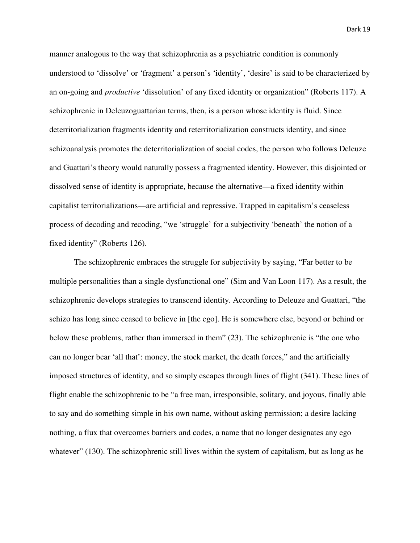manner analogous to the way that schizophrenia as a psychiatric condition is commonly understood to 'dissolve' or 'fragment' a person's 'identity', 'desire' is said to be characterized by an on-going and *productive* 'dissolution' of any fixed identity or organization" (Roberts 117). A schizophrenic in Deleuzoguattarian terms, then, is a person whose identity is fluid. Since deterritorialization fragments identity and reterritorialization constructs identity, and since schizoanalysis promotes the deterritorialization of social codes, the person who follows Deleuze and Guattari's theory would naturally possess a fragmented identity. However, this disjointed or dissolved sense of identity is appropriate, because the alternative—a fixed identity within capitalist territorializations—are artificial and repressive. Trapped in capitalism's ceaseless process of decoding and recoding, "we 'struggle' for a subjectivity 'beneath' the notion of a fixed identity" (Roberts 126).

The schizophrenic embraces the struggle for subjectivity by saying, "Far better to be multiple personalities than a single dysfunctional one" (Sim and Van Loon 117). As a result, the schizophrenic develops strategies to transcend identity. According to Deleuze and Guattari, "the schizo has long since ceased to believe in [the ego]. He is somewhere else, beyond or behind or below these problems, rather than immersed in them" (23). The schizophrenic is "the one who can no longer bear 'all that': money, the stock market, the death forces," and the artificially imposed structures of identity, and so simply escapes through lines of flight (341). These lines of flight enable the schizophrenic to be "a free man, irresponsible, solitary, and joyous, finally able to say and do something simple in his own name, without asking permission; a desire lacking nothing, a flux that overcomes barriers and codes, a name that no longer designates any ego whatever" (130). The schizophrenic still lives within the system of capitalism, but as long as he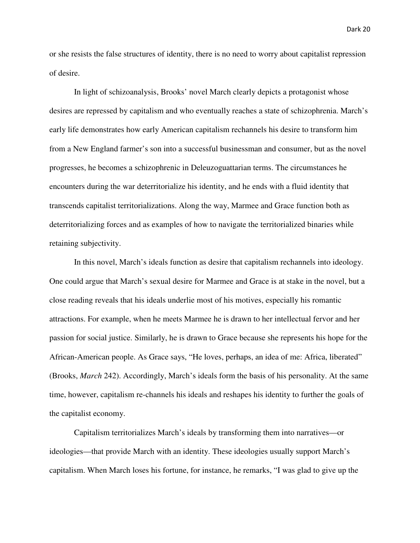or she resists the false structures of identity, there is no need to worry about capitalist repression of desire.

In light of schizoanalysis, Brooks' novel March clearly depicts a protagonist whose desires are repressed by capitalism and who eventually reaches a state of schizophrenia. March's early life demonstrates how early American capitalism rechannels his desire to transform him from a New England farmer's son into a successful businessman and consumer, but as the novel progresses, he becomes a schizophrenic in Deleuzoguattarian terms. The circumstances he encounters during the war deterritorialize his identity, and he ends with a fluid identity that transcends capitalist territorializations. Along the way, Marmee and Grace function both as deterritorializing forces and as examples of how to navigate the territorialized binaries while retaining subjectivity.

In this novel, March's ideals function as desire that capitalism rechannels into ideology. One could argue that March's sexual desire for Marmee and Grace is at stake in the novel, but a close reading reveals that his ideals underlie most of his motives, especially his romantic attractions. For example, when he meets Marmee he is drawn to her intellectual fervor and her passion for social justice. Similarly, he is drawn to Grace because she represents his hope for the African-American people. As Grace says, "He loves, perhaps, an idea of me: Africa, liberated" (Brooks, *March* 242). Accordingly, March's ideals form the basis of his personality. At the same time, however, capitalism re-channels his ideals and reshapes his identity to further the goals of the capitalist economy.

Capitalism territorializes March's ideals by transforming them into narratives—or ideologies—that provide March with an identity. These ideologies usually support March's capitalism. When March loses his fortune, for instance, he remarks, "I was glad to give up the

Dark 20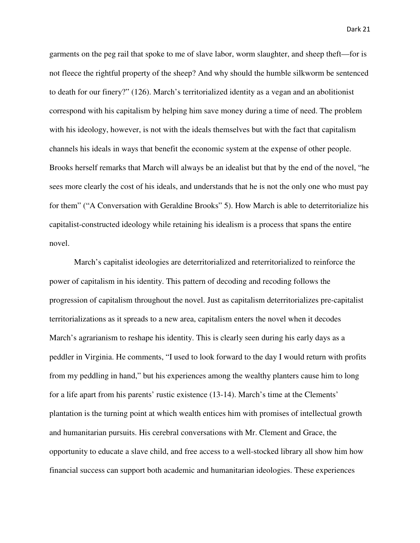garments on the peg rail that spoke to me of slave labor, worm slaughter, and sheep theft—for is not fleece the rightful property of the sheep? And why should the humble silkworm be sentenced to death for our finery?" (126). March's territorialized identity as a vegan and an abolitionist correspond with his capitalism by helping him save money during a time of need. The problem with his ideology, however, is not with the ideals themselves but with the fact that capitalism channels his ideals in ways that benefit the economic system at the expense of other people. Brooks herself remarks that March will always be an idealist but that by the end of the novel, "he sees more clearly the cost of his ideals, and understands that he is not the only one who must pay for them" ("A Conversation with Geraldine Brooks" 5). How March is able to deterritorialize his capitalist-constructed ideology while retaining his idealism is a process that spans the entire novel.

 March's capitalist ideologies are deterritorialized and reterritorialized to reinforce the power of capitalism in his identity. This pattern of decoding and recoding follows the progression of capitalism throughout the novel. Just as capitalism deterritorializes pre-capitalist territorializations as it spreads to a new area, capitalism enters the novel when it decodes March's agrarianism to reshape his identity. This is clearly seen during his early days as a peddler in Virginia. He comments, "I used to look forward to the day I would return with profits from my peddling in hand," but his experiences among the wealthy planters cause him to long for a life apart from his parents' rustic existence (13-14). March's time at the Clements' plantation is the turning point at which wealth entices him with promises of intellectual growth and humanitarian pursuits. His cerebral conversations with Mr. Clement and Grace, the opportunity to educate a slave child, and free access to a well-stocked library all show him how financial success can support both academic and humanitarian ideologies. These experiences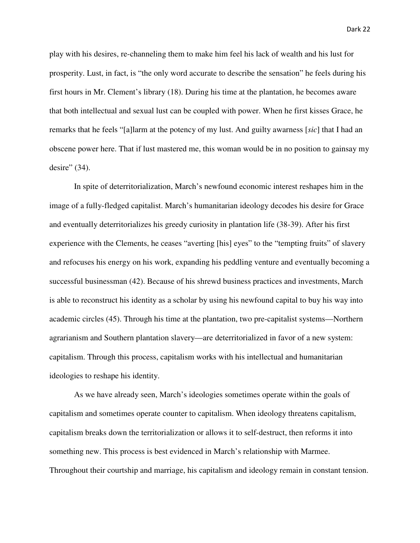play with his desires, re-channeling them to make him feel his lack of wealth and his lust for prosperity. Lust, in fact, is "the only word accurate to describe the sensation" he feels during his first hours in Mr. Clement's library (18). During his time at the plantation, he becomes aware that both intellectual and sexual lust can be coupled with power. When he first kisses Grace, he remarks that he feels "[a]larm at the potency of my lust. And guilty awarness [*sic*] that I had an obscene power here. That if lust mastered me, this woman would be in no position to gainsay my desire" (34).

In spite of deterritorialization, March's newfound economic interest reshapes him in the image of a fully-fledged capitalist. March's humanitarian ideology decodes his desire for Grace and eventually deterritorializes his greedy curiosity in plantation life (38-39). After his first experience with the Clements, he ceases "averting [his] eyes" to the "tempting fruits" of slavery and refocuses his energy on his work, expanding his peddling venture and eventually becoming a successful businessman (42). Because of his shrewd business practices and investments, March is able to reconstruct his identity as a scholar by using his newfound capital to buy his way into academic circles (45). Through his time at the plantation, two pre-capitalist systems—Northern agrarianism and Southern plantation slavery—are deterritorialized in favor of a new system: capitalism. Through this process, capitalism works with his intellectual and humanitarian ideologies to reshape his identity.

As we have already seen, March's ideologies sometimes operate within the goals of capitalism and sometimes operate counter to capitalism. When ideology threatens capitalism, capitalism breaks down the territorialization or allows it to self-destruct, then reforms it into something new. This process is best evidenced in March's relationship with Marmee. Throughout their courtship and marriage, his capitalism and ideology remain in constant tension.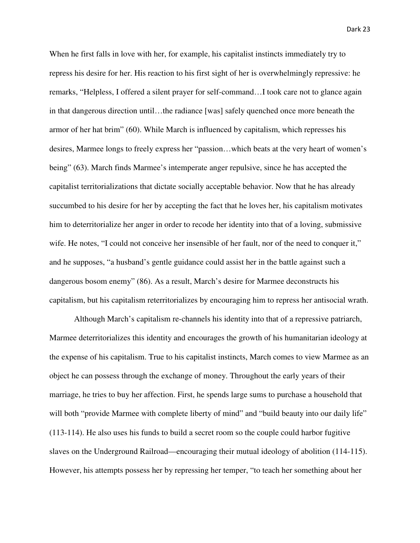When he first falls in love with her, for example, his capitalist instincts immediately try to repress his desire for her. His reaction to his first sight of her is overwhelmingly repressive: he remarks, "Helpless, I offered a silent prayer for self-command…I took care not to glance again in that dangerous direction until…the radiance [was] safely quenched once more beneath the armor of her hat brim" (60). While March is influenced by capitalism, which represses his desires, Marmee longs to freely express her "passion…which beats at the very heart of women's being" (63). March finds Marmee's intemperate anger repulsive, since he has accepted the capitalist territorializations that dictate socially acceptable behavior. Now that he has already succumbed to his desire for her by accepting the fact that he loves her, his capitalism motivates him to deterritorialize her anger in order to recode her identity into that of a loving, submissive wife. He notes, "I could not conceive her insensible of her fault, nor of the need to conquer it," and he supposes, "a husband's gentle guidance could assist her in the battle against such a dangerous bosom enemy" (86). As a result, March's desire for Marmee deconstructs his capitalism, but his capitalism reterritorializes by encouraging him to repress her antisocial wrath.

Although March's capitalism re-channels his identity into that of a repressive patriarch, Marmee deterritorializes this identity and encourages the growth of his humanitarian ideology at the expense of his capitalism. True to his capitalist instincts, March comes to view Marmee as an object he can possess through the exchange of money. Throughout the early years of their marriage, he tries to buy her affection. First, he spends large sums to purchase a household that will both "provide Marmee with complete liberty of mind" and "build beauty into our daily life" (113-114). He also uses his funds to build a secret room so the couple could harbor fugitive slaves on the Underground Railroad—encouraging their mutual ideology of abolition (114-115). However, his attempts possess her by repressing her temper, "to teach her something about her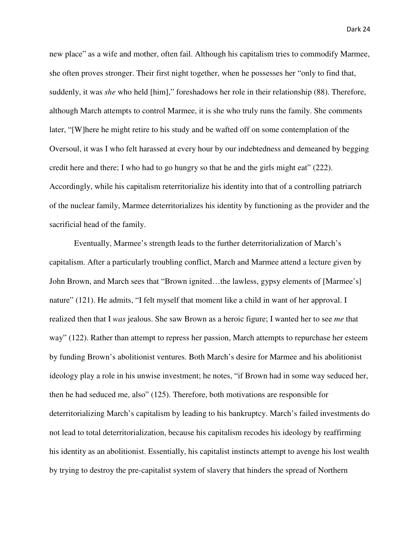new place" as a wife and mother, often fail. Although his capitalism tries to commodify Marmee, she often proves stronger. Their first night together, when he possesses her "only to find that, suddenly, it was *she* who held [him]," foreshadows her role in their relationship (88). Therefore, although March attempts to control Marmee, it is she who truly runs the family. She comments later, "[W]here he might retire to his study and be wafted off on some contemplation of the Oversoul, it was I who felt harassed at every hour by our indebtedness and demeaned by begging credit here and there; I who had to go hungry so that he and the girls might eat" (222). Accordingly, while his capitalism reterritorialize his identity into that of a controlling patriarch of the nuclear family, Marmee deterritorializes his identity by functioning as the provider and the sacrificial head of the family.

 Eventually, Marmee's strength leads to the further deterritorialization of March's capitalism. After a particularly troubling conflict, March and Marmee attend a lecture given by John Brown, and March sees that "Brown ignited…the lawless, gypsy elements of [Marmee's] nature" (121). He admits, "I felt myself that moment like a child in want of her approval. I realized then that I *was* jealous. She saw Brown as a heroic figure; I wanted her to see *me* that way" (122). Rather than attempt to repress her passion, March attempts to repurchase her esteem by funding Brown's abolitionist ventures. Both March's desire for Marmee and his abolitionist ideology play a role in his unwise investment; he notes, "if Brown had in some way seduced her, then he had seduced me, also" (125). Therefore, both motivations are responsible for deterritorializing March's capitalism by leading to his bankruptcy. March's failed investments do not lead to total deterritorialization, because his capitalism recodes his ideology by reaffirming his identity as an abolitionist. Essentially, his capitalist instincts attempt to avenge his lost wealth by trying to destroy the pre-capitalist system of slavery that hinders the spread of Northern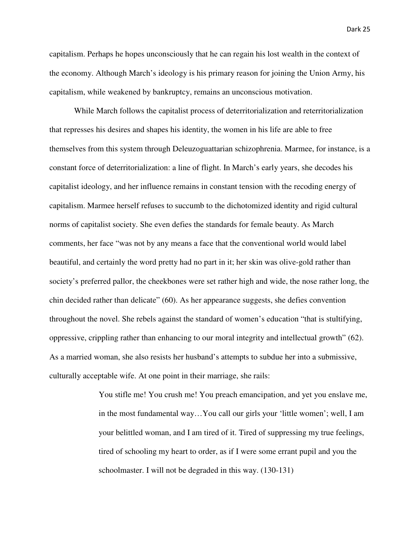capitalism. Perhaps he hopes unconsciously that he can regain his lost wealth in the context of the economy. Although March's ideology is his primary reason for joining the Union Army, his capitalism, while weakened by bankruptcy, remains an unconscious motivation.

 While March follows the capitalist process of deterritorialization and reterritorialization that represses his desires and shapes his identity, the women in his life are able to free themselves from this system through Deleuzoguattarian schizophrenia. Marmee, for instance, is a constant force of deterritorialization: a line of flight. In March's early years, she decodes his capitalist ideology, and her influence remains in constant tension with the recoding energy of capitalism. Marmee herself refuses to succumb to the dichotomized identity and rigid cultural norms of capitalist society. She even defies the standards for female beauty. As March comments, her face "was not by any means a face that the conventional world would label beautiful, and certainly the word pretty had no part in it; her skin was olive-gold rather than society's preferred pallor, the cheekbones were set rather high and wide, the nose rather long, the chin decided rather than delicate" (60). As her appearance suggests, she defies convention throughout the novel. She rebels against the standard of women's education "that is stultifying, oppressive, crippling rather than enhancing to our moral integrity and intellectual growth" (62). As a married woman, she also resists her husband's attempts to subdue her into a submissive, culturally acceptable wife. At one point in their marriage, she rails:

> You stifle me! You crush me! You preach emancipation, and yet you enslave me, in the most fundamental way…You call our girls your 'little women'; well, I am your belittled woman, and I am tired of it. Tired of suppressing my true feelings, tired of schooling my heart to order, as if I were some errant pupil and you the schoolmaster. I will not be degraded in this way. (130-131)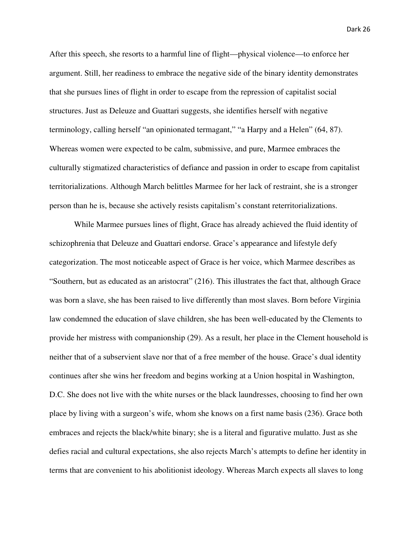After this speech, she resorts to a harmful line of flight—physical violence—to enforce her argument. Still, her readiness to embrace the negative side of the binary identity demonstrates that she pursues lines of flight in order to escape from the repression of capitalist social structures. Just as Deleuze and Guattari suggests, she identifies herself with negative terminology, calling herself "an opinionated termagant," "a Harpy and a Helen" (64, 87). Whereas women were expected to be calm, submissive, and pure, Marmee embraces the culturally stigmatized characteristics of defiance and passion in order to escape from capitalist territorializations. Although March belittles Marmee for her lack of restraint, she is a stronger person than he is, because she actively resists capitalism's constant reterritorializations.

 While Marmee pursues lines of flight, Grace has already achieved the fluid identity of schizophrenia that Deleuze and Guattari endorse. Grace's appearance and lifestyle defy categorization. The most noticeable aspect of Grace is her voice, which Marmee describes as "Southern, but as educated as an aristocrat" (216). This illustrates the fact that, although Grace was born a slave, she has been raised to live differently than most slaves. Born before Virginia law condemned the education of slave children, she has been well-educated by the Clements to provide her mistress with companionship (29). As a result, her place in the Clement household is neither that of a subservient slave nor that of a free member of the house. Grace's dual identity continues after she wins her freedom and begins working at a Union hospital in Washington, D.C. She does not live with the white nurses or the black laundresses, choosing to find her own place by living with a surgeon's wife, whom she knows on a first name basis (236). Grace both embraces and rejects the black/white binary; she is a literal and figurative mulatto. Just as she defies racial and cultural expectations, she also rejects March's attempts to define her identity in terms that are convenient to his abolitionist ideology. Whereas March expects all slaves to long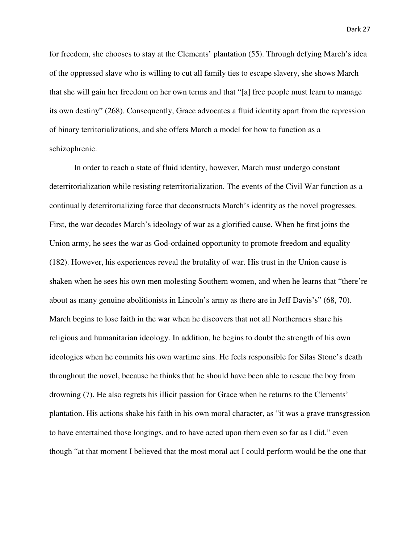for freedom, she chooses to stay at the Clements' plantation (55). Through defying March's idea of the oppressed slave who is willing to cut all family ties to escape slavery, she shows March that she will gain her freedom on her own terms and that "[a] free people must learn to manage its own destiny" (268). Consequently, Grace advocates a fluid identity apart from the repression of binary territorializations, and she offers March a model for how to function as a schizophrenic.

 In order to reach a state of fluid identity, however, March must undergo constant deterritorialization while resisting reterritorialization. The events of the Civil War function as a continually deterritorializing force that deconstructs March's identity as the novel progresses. First, the war decodes March's ideology of war as a glorified cause. When he first joins the Union army, he sees the war as God-ordained opportunity to promote freedom and equality (182). However, his experiences reveal the brutality of war. His trust in the Union cause is shaken when he sees his own men molesting Southern women, and when he learns that "there're about as many genuine abolitionists in Lincoln's army as there are in Jeff Davis's" (68, 70). March begins to lose faith in the war when he discovers that not all Northerners share his religious and humanitarian ideology. In addition, he begins to doubt the strength of his own ideologies when he commits his own wartime sins. He feels responsible for Silas Stone's death throughout the novel, because he thinks that he should have been able to rescue the boy from drowning (7). He also regrets his illicit passion for Grace when he returns to the Clements' plantation. His actions shake his faith in his own moral character, as "it was a grave transgression to have entertained those longings, and to have acted upon them even so far as I did," even though "at that moment I believed that the most moral act I could perform would be the one that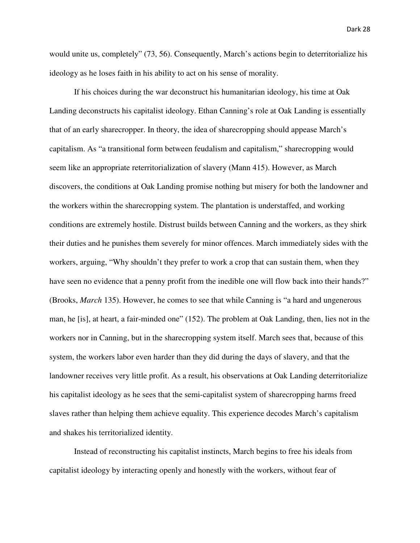would unite us, completely" (73, 56). Consequently, March's actions begin to deterritorialize his ideology as he loses faith in his ability to act on his sense of morality.

 If his choices during the war deconstruct his humanitarian ideology, his time at Oak Landing deconstructs his capitalist ideology. Ethan Canning's role at Oak Landing is essentially that of an early sharecropper. In theory, the idea of sharecropping should appease March's capitalism. As "a transitional form between feudalism and capitalism," sharecropping would seem like an appropriate reterritorialization of slavery (Mann 415). However, as March discovers, the conditions at Oak Landing promise nothing but misery for both the landowner and the workers within the sharecropping system. The plantation is understaffed, and working conditions are extremely hostile. Distrust builds between Canning and the workers, as they shirk their duties and he punishes them severely for minor offences. March immediately sides with the workers, arguing, "Why shouldn't they prefer to work a crop that can sustain them, when they have seen no evidence that a penny profit from the inedible one will flow back into their hands?" (Brooks, *March* 135). However, he comes to see that while Canning is "a hard and ungenerous man, he [is], at heart, a fair-minded one" (152). The problem at Oak Landing, then, lies not in the workers nor in Canning, but in the sharecropping system itself. March sees that, because of this system, the workers labor even harder than they did during the days of slavery, and that the landowner receives very little profit. As a result, his observations at Oak Landing deterritorialize his capitalist ideology as he sees that the semi-capitalist system of sharecropping harms freed slaves rather than helping them achieve equality. This experience decodes March's capitalism and shakes his territorialized identity.

 Instead of reconstructing his capitalist instincts, March begins to free his ideals from capitalist ideology by interacting openly and honestly with the workers, without fear of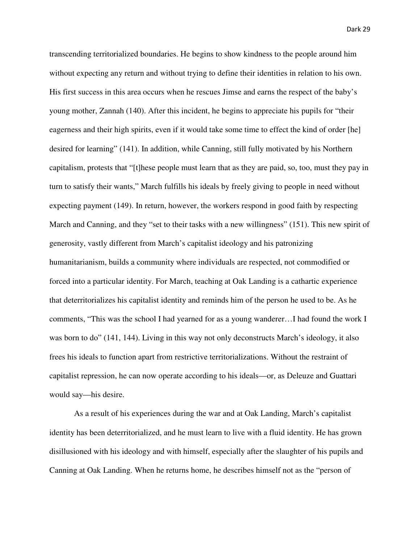transcending territorialized boundaries. He begins to show kindness to the people around him without expecting any return and without trying to define their identities in relation to his own. His first success in this area occurs when he rescues Jimse and earns the respect of the baby's young mother, Zannah (140). After this incident, he begins to appreciate his pupils for "their eagerness and their high spirits, even if it would take some time to effect the kind of order [he] desired for learning" (141). In addition, while Canning, still fully motivated by his Northern capitalism, protests that "[t]hese people must learn that as they are paid, so, too, must they pay in turn to satisfy their wants," March fulfills his ideals by freely giving to people in need without expecting payment (149). In return, however, the workers respond in good faith by respecting March and Canning, and they "set to their tasks with a new willingness" (151). This new spirit of generosity, vastly different from March's capitalist ideology and his patronizing humanitarianism, builds a community where individuals are respected, not commodified or forced into a particular identity. For March, teaching at Oak Landing is a cathartic experience that deterritorializes his capitalist identity and reminds him of the person he used to be. As he comments, "This was the school I had yearned for as a young wanderer…I had found the work I was born to do" (141, 144). Living in this way not only deconstructs March's ideology, it also frees his ideals to function apart from restrictive territorializations. Without the restraint of capitalist repression, he can now operate according to his ideals—or, as Deleuze and Guattari would say—his desire.

 As a result of his experiences during the war and at Oak Landing, March's capitalist identity has been deterritorialized, and he must learn to live with a fluid identity. He has grown disillusioned with his ideology and with himself, especially after the slaughter of his pupils and Canning at Oak Landing. When he returns home, he describes himself not as the "person of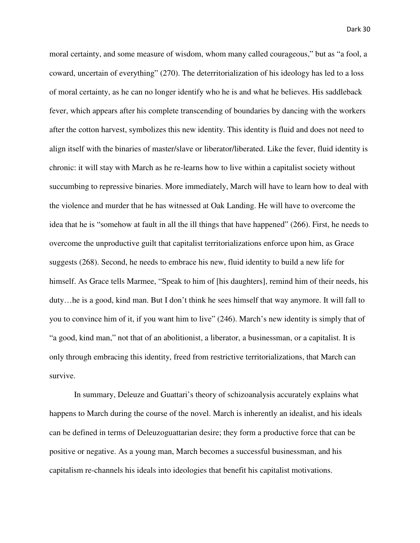moral certainty, and some measure of wisdom, whom many called courageous," but as "a fool, a coward, uncertain of everything" (270). The deterritorialization of his ideology has led to a loss of moral certainty, as he can no longer identify who he is and what he believes. His saddleback fever, which appears after his complete transcending of boundaries by dancing with the workers after the cotton harvest, symbolizes this new identity. This identity is fluid and does not need to align itself with the binaries of master/slave or liberator/liberated. Like the fever, fluid identity is chronic: it will stay with March as he re-learns how to live within a capitalist society without succumbing to repressive binaries. More immediately, March will have to learn how to deal with the violence and murder that he has witnessed at Oak Landing. He will have to overcome the idea that he is "somehow at fault in all the ill things that have happened" (266). First, he needs to overcome the unproductive guilt that capitalist territorializations enforce upon him, as Grace suggests (268). Second, he needs to embrace his new, fluid identity to build a new life for himself. As Grace tells Marmee, "Speak to him of [his daughters], remind him of their needs, his duty…he is a good, kind man. But I don't think he sees himself that way anymore. It will fall to you to convince him of it, if you want him to live" (246). March's new identity is simply that of "a good, kind man," not that of an abolitionist, a liberator, a businessman, or a capitalist. It is only through embracing this identity, freed from restrictive territorializations, that March can survive.

 In summary, Deleuze and Guattari's theory of schizoanalysis accurately explains what happens to March during the course of the novel. March is inherently an idealist, and his ideals can be defined in terms of Deleuzoguattarian desire; they form a productive force that can be positive or negative. As a young man, March becomes a successful businessman, and his capitalism re-channels his ideals into ideologies that benefit his capitalist motivations.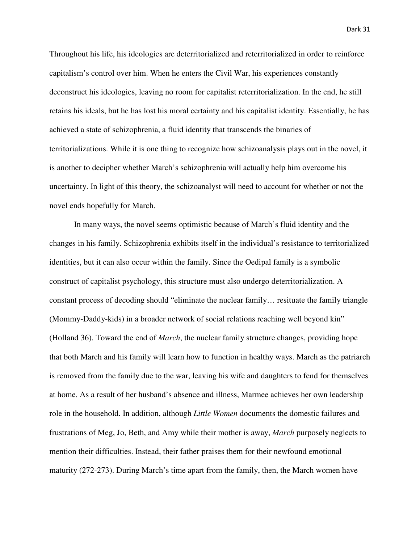Throughout his life, his ideologies are deterritorialized and reterritorialized in order to reinforce capitalism's control over him. When he enters the Civil War, his experiences constantly deconstruct his ideologies, leaving no room for capitalist reterritorialization. In the end, he still retains his ideals, but he has lost his moral certainty and his capitalist identity. Essentially, he has achieved a state of schizophrenia, a fluid identity that transcends the binaries of territorializations. While it is one thing to recognize how schizoanalysis plays out in the novel, it is another to decipher whether March's schizophrenia will actually help him overcome his uncertainty. In light of this theory, the schizoanalyst will need to account for whether or not the novel ends hopefully for March.

 In many ways, the novel seems optimistic because of March's fluid identity and the changes in his family. Schizophrenia exhibits itself in the individual's resistance to territorialized identities, but it can also occur within the family. Since the Oedipal family is a symbolic construct of capitalist psychology, this structure must also undergo deterritorialization. A constant process of decoding should "eliminate the nuclear family… resituate the family triangle (Mommy-Daddy-kids) in a broader network of social relations reaching well beyond kin" (Holland 36). Toward the end of *March*, the nuclear family structure changes, providing hope that both March and his family will learn how to function in healthy ways. March as the patriarch is removed from the family due to the war, leaving his wife and daughters to fend for themselves at home. As a result of her husband's absence and illness, Marmee achieves her own leadership role in the household. In addition, although *Little Women* documents the domestic failures and frustrations of Meg, Jo, Beth, and Amy while their mother is away, *March* purposely neglects to mention their difficulties. Instead, their father praises them for their newfound emotional maturity (272-273). During March's time apart from the family, then, the March women have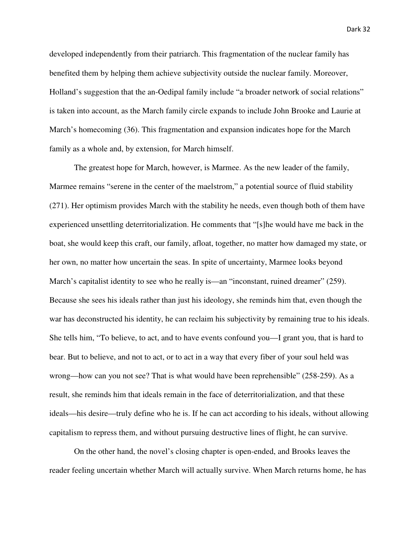developed independently from their patriarch. This fragmentation of the nuclear family has benefited them by helping them achieve subjectivity outside the nuclear family. Moreover, Holland's suggestion that the an-Oedipal family include "a broader network of social relations" is taken into account, as the March family circle expands to include John Brooke and Laurie at March's homecoming (36). This fragmentation and expansion indicates hope for the March family as a whole and, by extension, for March himself.

 The greatest hope for March, however, is Marmee. As the new leader of the family, Marmee remains "serene in the center of the maelstrom," a potential source of fluid stability (271). Her optimism provides March with the stability he needs, even though both of them have experienced unsettling deterritorialization. He comments that "[s]he would have me back in the boat, she would keep this craft, our family, afloat, together, no matter how damaged my state, or her own, no matter how uncertain the seas. In spite of uncertainty, Marmee looks beyond March's capitalist identity to see who he really is—an "inconstant, ruined dreamer" (259). Because she sees his ideals rather than just his ideology, she reminds him that, even though the war has deconstructed his identity, he can reclaim his subjectivity by remaining true to his ideals. She tells him, "To believe, to act, and to have events confound you—I grant you, that is hard to bear. But to believe, and not to act, or to act in a way that every fiber of your soul held was wrong—how can you not see? That is what would have been reprehensible" (258-259). As a result, she reminds him that ideals remain in the face of deterritorialization, and that these ideals—his desire—truly define who he is. If he can act according to his ideals, without allowing capitalism to repress them, and without pursuing destructive lines of flight, he can survive.

 On the other hand, the novel's closing chapter is open-ended, and Brooks leaves the reader feeling uncertain whether March will actually survive. When March returns home, he has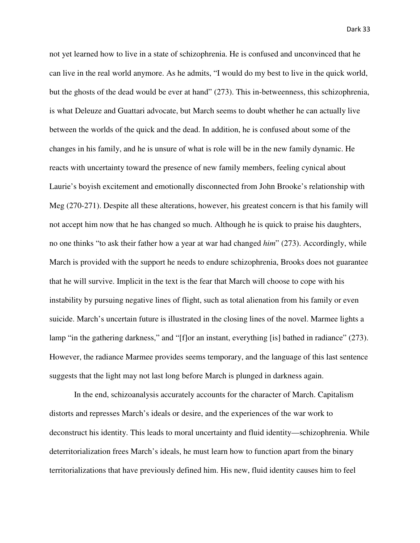not yet learned how to live in a state of schizophrenia. He is confused and unconvinced that he can live in the real world anymore. As he admits, "I would do my best to live in the quick world, but the ghosts of the dead would be ever at hand" (273). This in-betweenness, this schizophrenia, is what Deleuze and Guattari advocate, but March seems to doubt whether he can actually live between the worlds of the quick and the dead. In addition, he is confused about some of the changes in his family, and he is unsure of what is role will be in the new family dynamic. He reacts with uncertainty toward the presence of new family members, feeling cynical about Laurie's boyish excitement and emotionally disconnected from John Brooke's relationship with Meg (270-271). Despite all these alterations, however, his greatest concern is that his family will not accept him now that he has changed so much. Although he is quick to praise his daughters, no one thinks "to ask their father how a year at war had changed *him*" (273). Accordingly, while March is provided with the support he needs to endure schizophrenia, Brooks does not guarantee that he will survive. Implicit in the text is the fear that March will choose to cope with his instability by pursuing negative lines of flight, such as total alienation from his family or even suicide. March's uncertain future is illustrated in the closing lines of the novel. Marmee lights a lamp "in the gathering darkness," and "[f]or an instant, everything [is] bathed in radiance" (273). However, the radiance Marmee provides seems temporary, and the language of this last sentence suggests that the light may not last long before March is plunged in darkness again.

 In the end, schizoanalysis accurately accounts for the character of March. Capitalism distorts and represses March's ideals or desire, and the experiences of the war work to deconstruct his identity. This leads to moral uncertainty and fluid identity—schizophrenia. While deterritorialization frees March's ideals, he must learn how to function apart from the binary territorializations that have previously defined him. His new, fluid identity causes him to feel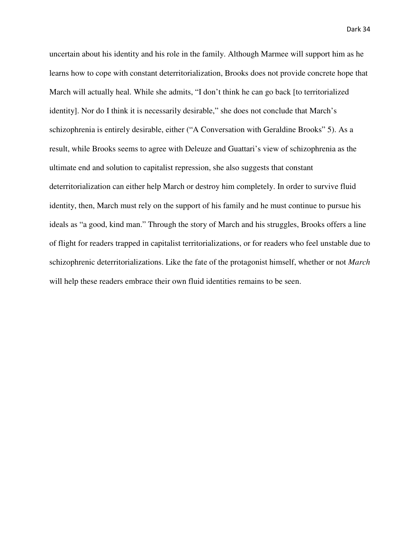uncertain about his identity and his role in the family. Although Marmee will support him as he learns how to cope with constant deterritorialization, Brooks does not provide concrete hope that March will actually heal. While she admits, "I don't think he can go back [to territorialized identity]. Nor do I think it is necessarily desirable," she does not conclude that March's schizophrenia is entirely desirable, either ("A Conversation with Geraldine Brooks" 5). As a result, while Brooks seems to agree with Deleuze and Guattari's view of schizophrenia as the ultimate end and solution to capitalist repression, she also suggests that constant deterritorialization can either help March or destroy him completely. In order to survive fluid identity, then, March must rely on the support of his family and he must continue to pursue his ideals as "a good, kind man." Through the story of March and his struggles, Brooks offers a line of flight for readers trapped in capitalist territorializations, or for readers who feel unstable due to schizophrenic deterritorializations. Like the fate of the protagonist himself, whether or not *March* will help these readers embrace their own fluid identities remains to be seen.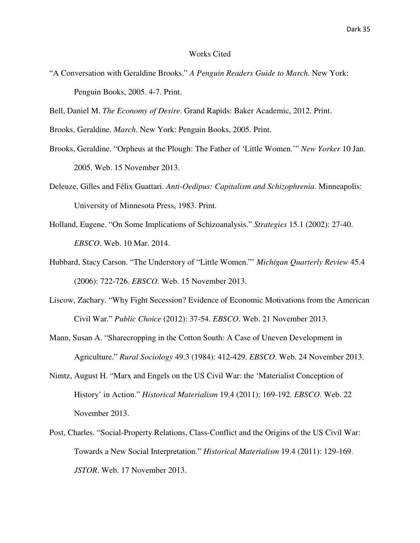## Works Cited

"A Conversation with Geraldine Brooks." *A Penguin Readers Guide to March*. New York: Penguin Books, 2005. 4-7. Print.

Bell, Daniel M. *The Economy of Desire*. Grand Rapids: Baker Academic, 2012. Print.

Brooks, Geraldine. *March*. New York: Penguin Books, 2005. Print.

- Brooks, Geraldine. "Orpheus at the Plough: The Father of 'Little Women.'" *New Yorker* 10 Jan. 2005. Web. 15 November 2013.
- Deleuze, Gilles and Félix Guattari. *Anti-Oedipus: Capitalism and Schizophrenia*. Minneapolis: University of Minnesota Press, 1983. Print.
- Holland, Eugene. "On Some Implications of Schizoanalysis." *Strategies* 15.1 (2002): 27-40. *EBSCO*. Web. 10 Mar. 2014.
- Hubbard, Stacy Carson. "The Understory of "Little Women."' *Michigan Quarterly Review* 45.4 (2006): 722-726. *EBSCO*. Web. 15 November 2013.
- Liscow, Zachary. "Why Fight Secession? Evidence of Economic Motivations from the American Civil War." *Public Choice* (2012): 37-54. *EBSCO*. Web. 21 November 2013.
- Mann, Susan A. "Sharecropping in the Cotton South: A Case of Uneven Development in Agriculture." *Rural Sociology* 49.3 (1984): 412-429. *EBSCO*. Web. 24 November 2013.
- Nimtz, August H. "Marx and Engels on the US Civil War: the 'Materialist Conception of History' in Action." *Historical Materialism* 19.4 (2011): 169-192. *EBSCO*. Web. 22 November 2013.
- Post, Charles. "Social-Property Relations, Class-Conflict and the Origins of the US Civil War: Towards a New Social Interpretation." *Historical Materialism* 19.4 (2011): 129-169. *JSTOR*. Web. 17 November 2013.